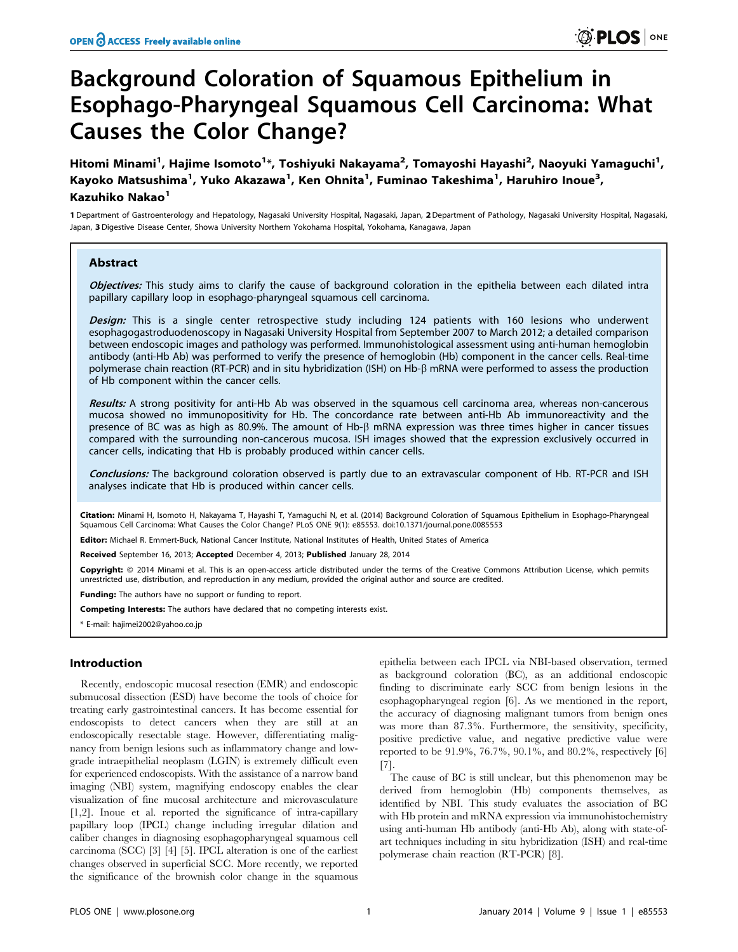# Background Coloration of Squamous Epithelium in Esophago-Pharyngeal Squamous Cell Carcinoma: What Causes the Color Change?

Hitomi Minami<sup>1</sup>, Hajime Isomoto<sup>1</sup>\*, Toshiyuki Nakayama<sup>2</sup>, Tomayoshi Hayashi<sup>2</sup>, Naoyuki Yamaguchi<sup>1</sup>, Kayoko Matsushima<sup>1</sup>, Yuko Akazawa<sup>1</sup>, Ken Ohnita<sup>1</sup>, Fuminao Takeshima<sup>1</sup>, Haruhiro Inoue<sup>3</sup>, Kazuhiko Nakao<sup>1</sup>

1 Department of Gastroenterology and Hepatology, Nagasaki University Hospital, Nagasaki, Japan, 2 Department of Pathology, Nagasaki University Hospital, Nagasaki, Japan, 3 Digestive Disease Center, Showa University Northern Yokohama Hospital, Yokohama, Kanagawa, Japan

# Abstract

Objectives: This study aims to clarify the cause of background coloration in the epithelia between each dilated intra papillary capillary loop in esophago-pharyngeal squamous cell carcinoma.

Design: This is a single center retrospective study including 124 patients with 160 lesions who underwent esophagogastroduodenoscopy in Nagasaki University Hospital from September 2007 to March 2012; a detailed comparison between endoscopic images and pathology was performed. Immunohistological assessment using anti-human hemoglobin antibody (anti-Hb Ab) was performed to verify the presence of hemoglobin (Hb) component in the cancer cells. Real-time polymerase chain reaction (RT-PCR) and in situ hybridization (ISH) on Hb-b mRNA were performed to assess the production of Hb component within the cancer cells.

Results: A strong positivity for anti-Hb Ab was observed in the squamous cell carcinoma area, whereas non-cancerous mucosa showed no immunopositivity for Hb. The concordance rate between anti-Hb Ab immunoreactivity and the presence of BC was as high as 80.9%. The amount of Hb- $\beta$  mRNA expression was three times higher in cancer tissues compared with the surrounding non-cancerous mucosa. ISH images showed that the expression exclusively occurred in cancer cells, indicating that Hb is probably produced within cancer cells.

Conclusions: The background coloration observed is partly due to an extravascular component of Hb. RT-PCR and ISH analyses indicate that Hb is produced within cancer cells.

Citation: Minami H, Isomoto H, Nakayama T, Hayashi T, Yamaguchi N, et al. (2014) Background Coloration of Squamous Epithelium in Esophago-Pharvngeal Squamous Cell Carcinoma: What Causes the Color Change? PLoS ONE 9(1): e85553. doi:10.1371/journal.pone.0085553

Editor: Michael R. Emmert-Buck, National Cancer Institute, National Institutes of Health, United States of America

Received September 16, 2013; Accepted December 4, 2013; Published January 28, 2014

Copyright: © 2014 Minami et al. This is an open-access article distributed under the terms of the Creative Commons Attribution License, which permits unrestricted use, distribution, and reproduction in any medium, provided the original author and source are credited.

**Funding:** The authors have no support or funding to report.

Competing Interests: The authors have declared that no competing interests exist.

\* E-mail: hajimei2002@yahoo.co.jp

# Introduction

Recently, endoscopic mucosal resection (EMR) and endoscopic submucosal dissection (ESD) have become the tools of choice for treating early gastrointestinal cancers. It has become essential for endoscopists to detect cancers when they are still at an endoscopically resectable stage. However, differentiating malignancy from benign lesions such as inflammatory change and lowgrade intraepithelial neoplasm (LGIN) is extremely difficult even for experienced endoscopists. With the assistance of a narrow band imaging (NBI) system, magnifying endoscopy enables the clear visualization of fine mucosal architecture and microvasculature [1,2]. Inoue et al. reported the significance of intra-capillary papillary loop (IPCL) change including irregular dilation and caliber changes in diagnosing esophagopharyngeal squamous cell carcinoma (SCC) [3] [4] [5]. IPCL alteration is one of the earliest changes observed in superficial SCC. More recently, we reported the significance of the brownish color change in the squamous

epithelia between each IPCL via NBI-based observation, termed as background coloration (BC), as an additional endoscopic finding to discriminate early SCC from benign lesions in the esophagopharyngeal region [6]. As we mentioned in the report, the accuracy of diagnosing malignant tumors from benign ones was more than 87.3%. Furthermore, the sensitivity, specificity, positive predictive value, and negative predictive value were reported to be 91.9%, 76.7%, 90.1%, and 80.2%, respectively [6] [7].

The cause of BC is still unclear, but this phenomenon may be derived from hemoglobin (Hb) components themselves, as identified by NBI. This study evaluates the association of BC with Hb protein and mRNA expression via immunohistochemistry using anti-human Hb antibody (anti-Hb Ab), along with state-ofart techniques including in situ hybridization (ISH) and real-time polymerase chain reaction (RT-PCR) [8].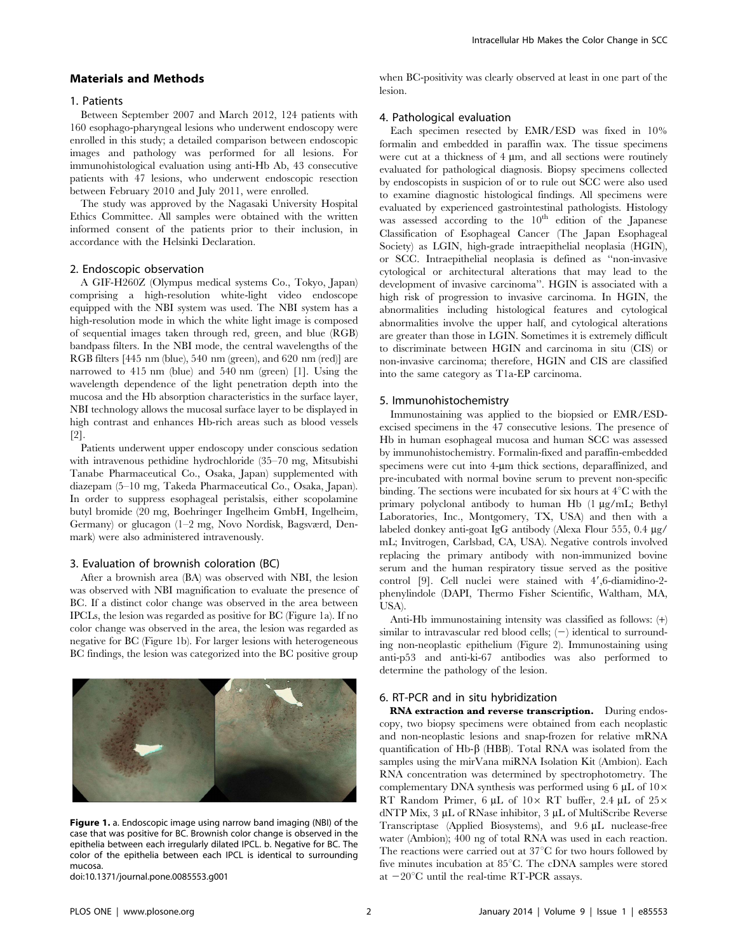## Materials and Methods

#### 1. Patients

Between September 2007 and March 2012, 124 patients with 160 esophago-pharyngeal lesions who underwent endoscopy were enrolled in this study; a detailed comparison between endoscopic images and pathology was performed for all lesions. For immunohistological evaluation using anti-Hb Ab, 43 consecutive patients with 47 lesions, who underwent endoscopic resection between February 2010 and July 2011, were enrolled.

The study was approved by the Nagasaki University Hospital Ethics Committee. All samples were obtained with the written informed consent of the patients prior to their inclusion, in accordance with the Helsinki Declaration.

## 2. Endoscopic observation

A GIF-H260Z (Olympus medical systems Co., Tokyo, Japan) comprising a high-resolution white-light video endoscope equipped with the NBI system was used. The NBI system has a high-resolution mode in which the white light image is composed of sequential images taken through red, green, and blue (RGB) bandpass filters. In the NBI mode, the central wavelengths of the RGB filters [445 nm (blue), 540 nm (green), and 620 nm (red)] are narrowed to 415 nm (blue) and 540 nm (green) [1]. Using the wavelength dependence of the light penetration depth into the mucosa and the Hb absorption characteristics in the surface layer, NBI technology allows the mucosal surface layer to be displayed in high contrast and enhances Hb-rich areas such as blood vessels [2].

Patients underwent upper endoscopy under conscious sedation with intravenous pethidine hydrochloride (35–70 mg, Mitsubishi Tanabe Pharmaceutical Co., Osaka, Japan) supplemented with diazepam (5–10 mg, Takeda Pharmaceutical Co., Osaka, Japan). In order to suppress esophageal peristalsis, either scopolamine butyl bromide (20 mg, Boehringer Ingelheim GmbH, Ingelheim, Germany) or glucagon (1–2 mg, Novo Nordisk, Bagsværd, Denmark) were also administered intravenously.

#### 3. Evaluation of brownish coloration (BC)

After a brownish area (BA) was observed with NBI, the lesion was observed with NBI magnification to evaluate the presence of BC. If a distinct color change was observed in the area between IPCLs, the lesion was regarded as positive for BC (Figure 1a). If no color change was observed in the area, the lesion was regarded as negative for BC (Figure 1b). For larger lesions with heterogeneous BC findings, the lesion was categorized into the BC positive group



Figure 1. a. Endoscopic image using narrow band imaging (NBI) of the case that was positive for BC. Brownish color change is observed in the epithelia between each irregularly dilated IPCL. b. Negative for BC. The color of the epithelia between each IPCL is identical to surrounding mucosa.

doi:10.1371/journal.pone.0085553.g001

when BC-positivity was clearly observed at least in one part of the lesion.

#### 4. Pathological evaluation

Each specimen resected by EMR/ESD was fixed in 10% formalin and embedded in paraffin wax. The tissue specimens were cut at a thickness of  $4 \mu m$ , and all sections were routinely evaluated for pathological diagnosis. Biopsy specimens collected by endoscopists in suspicion of or to rule out SCC were also used to examine diagnostic histological findings. All specimens were evaluated by experienced gastrointestinal pathologists. Histology was assessed according to the  $10<sup>th</sup>$  edition of the Japanese Classification of Esophageal Cancer (The Japan Esophageal Society) as LGIN, high-grade intraepithelial neoplasia (HGIN), or SCC. Intraepithelial neoplasia is defined as ''non-invasive cytological or architectural alterations that may lead to the development of invasive carcinoma''. HGIN is associated with a high risk of progression to invasive carcinoma. In HGIN, the abnormalities including histological features and cytological abnormalities involve the upper half, and cytological alterations are greater than those in LGIN. Sometimes it is extremely difficult to discriminate between HGIN and carcinoma in situ (CIS) or non-invasive carcinoma; therefore, HGIN and CIS are classified into the same category as T1a-EP carcinoma.

#### 5. Immunohistochemistry

Immunostaining was applied to the biopsied or EMR/ESDexcised specimens in the 47 consecutive lesions. The presence of Hb in human esophageal mucosa and human SCC was assessed by immunohistochemistry. Formalin-fixed and paraffin-embedded specimens were cut into 4-um thick sections, deparaffinized, and pre-incubated with normal bovine serum to prevent non-specific binding. The sections were incubated for six hours at  $4^{\circ}$ C with the primary polyclonal antibody to human Hb (1 µg/mL; Bethyl Laboratories, Inc., Montgomery, TX, USA) and then with a labeled donkey anti-goat IgG antibody (Alexa Flour 555, 0.4  $\mu$ g/ mL; Invitrogen, Carlsbad, CA, USA). Negative controls involved replacing the primary antibody with non-immunized bovine serum and the human respiratory tissue served as the positive control [9]. Cell nuclei were stained with  $4'$ , 6-diamidino-2phenylindole (DAPI, Thermo Fisher Scientific, Waltham, MA, USA).

Anti-Hb immunostaining intensity was classified as follows: (+) similar to intravascular red blood cells;  $(-)$  identical to surrounding non-neoplastic epithelium (Figure 2). Immunostaining using anti-p53 and anti-ki-67 antibodies was also performed to determine the pathology of the lesion.

#### 6. RT-PCR and in situ hybridization

RNA extraction and reverse transcription. During endoscopy, two biopsy specimens were obtained from each neoplastic and non-neoplastic lesions and snap-frozen for relative mRNA quantification of Hb- $\beta$  (HBB). Total RNA was isolated from the samples using the mirVana miRNA Isolation Kit (Ambion). Each RNA concentration was determined by spectrophotometry. The complementary DNA synthesis was performed using 6  $\mu$ L of 10 $\times$ RT Random Primer, 6  $\mu$ L of 10× RT buffer, 2.4  $\mu$ L of 25× dNTP Mix, 3 µL of RNase inhibitor, 3 µL of MultiScribe Reverse Transcriptase (Applied Biosystems), and 9.6 µL nuclease-free water (Ambion); 400 ng of total RNA was used in each reaction. The reactions were carried out at  $37^{\circ}$ C for two hours followed by five minutes incubation at  $85^{\circ}$ C. The cDNA samples were stored at  $-20^{\circ}$ C until the real-time RT-PCR assays.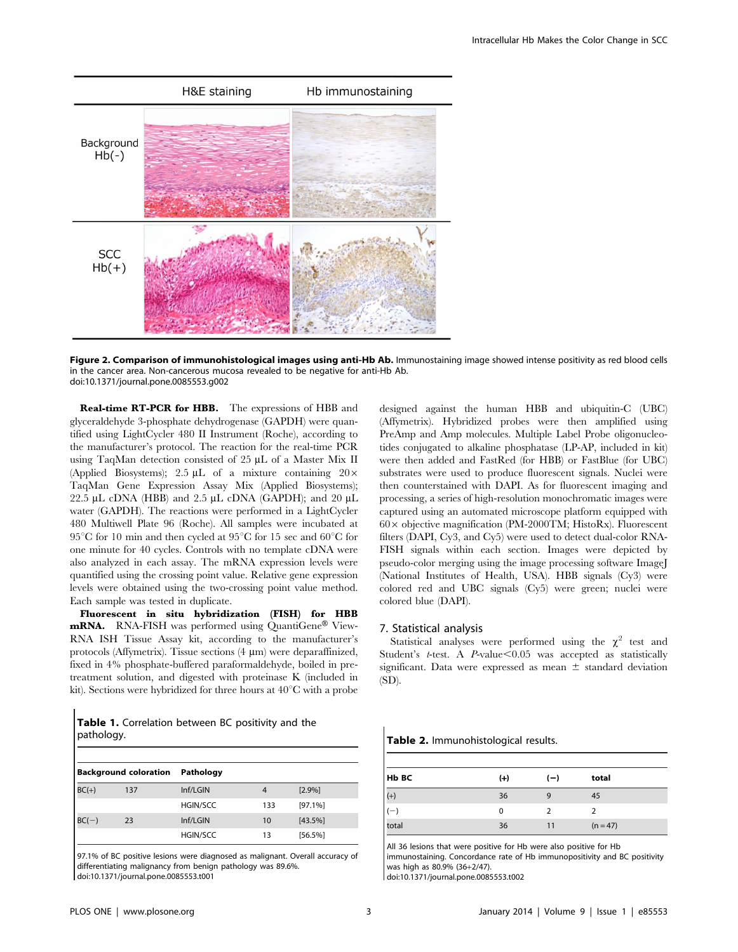

Figure 2. Comparison of immunohistological images using anti-Hb Ab. Immunostaining image showed intense positivity as red blood cells in the cancer area. Non-cancerous mucosa revealed to be negative for anti-Hb Ab. doi:10.1371/journal.pone.0085553.g002

Real-time RT-PCR for HBB. The expressions of HBB and glyceraldehyde 3-phosphate dehydrogenase (GAPDH) were quantified using LightCycler 480 II Instrument (Roche), according to the manufacturer's protocol. The reaction for the real-time PCR using TaqMan detection consisted of 25 µL of a Master Mix II (Applied Biosystems); 2.5  $\mu$ L of a mixture containing 20 $\times$ TaqMan Gene Expression Assay Mix (Applied Biosystems); 22.5  $\mu$ L cDNA (HBB) and 2.5  $\mu$ L cDNA (GAPDH); and 20  $\mu$ L water (GAPDH). The reactions were performed in a LightCycler 480 Multiwell Plate 96 (Roche). All samples were incubated at  $95^{\circ}$ C for 10 min and then cycled at  $95^{\circ}$ C for 15 sec and 60 $^{\circ}$ C for one minute for 40 cycles. Controls with no template cDNA were also analyzed in each assay. The mRNA expression levels were quantified using the crossing point value. Relative gene expression levels were obtained using the two-crossing point value method. Each sample was tested in duplicate.

Fluorescent in situ hybridization (FISH) for HBB mRNA. RNA-FISH was performed using QuantiGene® View-RNA ISH Tissue Assay kit, according to the manufacturer's protocols (Affymetrix). Tissue sections  $(4 \mu m)$  were deparaffinized, fixed in 4% phosphate-buffered paraformaldehyde, boiled in pretreatment solution, and digested with proteinase K (included in kit). Sections were hybridized for three hours at  $40^{\circ}$ C with a probe

Table 1. Correlation between BC positivity and the pathology.

| <b>Background coloration</b> |     | Pathology       |     |            |
|------------------------------|-----|-----------------|-----|------------|
| $BC(+)$                      | 137 | Inf/LGIN        | 4   | [2.9%]     |
|                              |     | <b>HGIN/SCC</b> | 133 | $[97.1\%]$ |
| $BC(-)$                      | 23  | Inf/LGIN        | 10  | [43.5%]    |
|                              |     | <b>HGIN/SCC</b> | 13  | [56.5%]    |

97.1% of BC positive lesions were diagnosed as malignant. Overall accuracy of differentiating malignancy from benign pathology was 89.6%.

doi:10.1371/journal.pone.0085553.t001

designed against the human HBB and ubiquitin-C (UBC) (Affymetrix). Hybridized probes were then amplified using PreAmp and Amp molecules. Multiple Label Probe oligonucleotides conjugated to alkaline phosphatase (LP-AP, included in kit) were then added and FastRed (for HBB) or FastBlue (for UBC) substrates were used to produce fluorescent signals. Nuclei were then counterstained with DAPI. As for fluorescent imaging and processing, a series of high-resolution monochromatic images were captured using an automated microscope platform equipped with  $60\times$  objective magnification (PM-2000TM; HistoRx). Fluorescent filters (DAPI, Cy3, and Cy5) were used to detect dual-color RNA-FISH signals within each section. Images were depicted by pseudo-color merging using the image processing software ImageJ (National Institutes of Health, USA). HBB signals (Cy3) were colored red and UBC signals (Cy5) were green; nuclei were colored blue (DAPI).

#### 7. Statistical analysis

Statistical analyses were performed using the  $\chi^2$  test and Student's t-test. A  $P$ -value $\leq 0.05$  was accepted as statistically significant. Data were expressed as mean  $\pm$  standard deviation (SD).

Table 2. Immunohistological results.

| Hb BC             | $(+)$ | $(-)$ | total      |
|-------------------|-------|-------|------------|
| $\frac{(+)}{(-)}$ | 36    | 9     | 45         |
|                   | 0     |       |            |
| total             | 36    | -11   | $(n = 47)$ |

All 36 lesions that were positive for Hb were also positive for Hb immunostaining. Concordance rate of Hb immunopositivity and BC positivity was high as 80.9% (36+2/47).

doi:10.1371/journal.pone.0085553.t002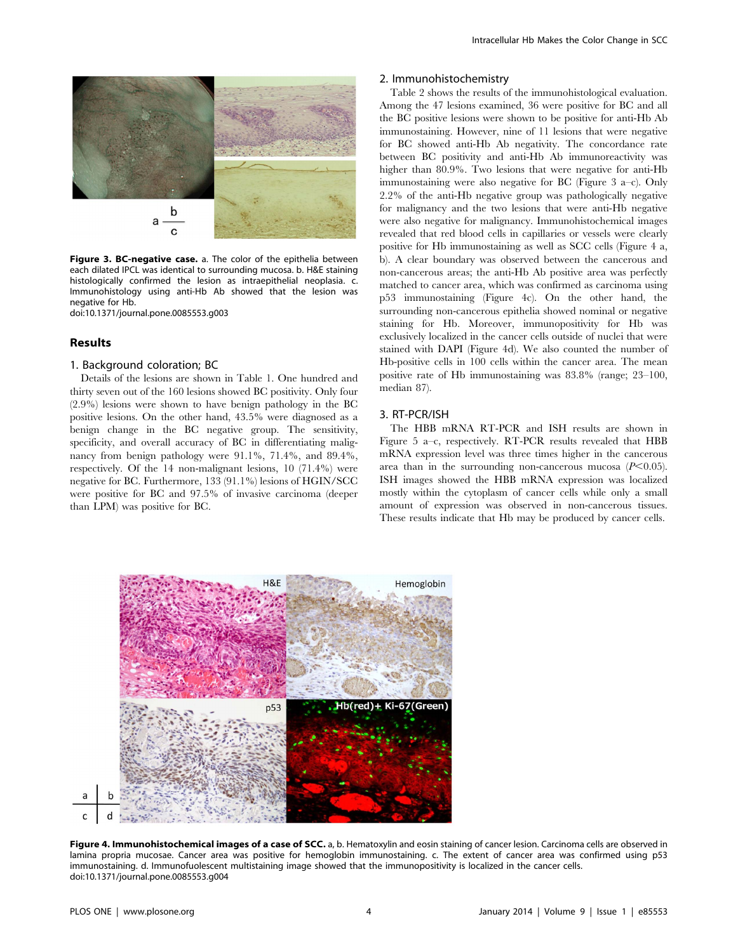

Figure 3. BC-negative case. a. The color of the epithelia between each dilated IPCL was identical to surrounding mucosa. b. H&E staining histologically confirmed the lesion as intraepithelial neoplasia. c. Immunohistology using anti-Hb Ab showed that the lesion was negative for Hb.

doi:10.1371/journal.pone.0085553.g003

## Results

#### 1. Background coloration; BC

Details of the lesions are shown in Table 1. One hundred and thirty seven out of the 160 lesions showed BC positivity. Only four (2.9%) lesions were shown to have benign pathology in the BC positive lesions. On the other hand, 43.5% were diagnosed as a benign change in the BC negative group. The sensitivity, specificity, and overall accuracy of BC in differentiating malignancy from benign pathology were 91.1%, 71.4%, and 89.4%, respectively. Of the 14 non-malignant lesions, 10 (71.4%) were negative for BC. Furthermore, 133 (91.1%) lesions of HGIN/SCC were positive for BC and 97.5% of invasive carcinoma (deeper than LPM) was positive for BC.

## 2. Immunohistochemistry

Table 2 shows the results of the immunohistological evaluation. Among the 47 lesions examined, 36 were positive for BC and all the BC positive lesions were shown to be positive for anti-Hb Ab immunostaining. However, nine of 11 lesions that were negative for BC showed anti-Hb Ab negativity. The concordance rate between BC positivity and anti-Hb Ab immunoreactivity was higher than 80.9%. Two lesions that were negative for anti-Hb immunostaining were also negative for BC (Figure 3 a–c). Only 2.2% of the anti-Hb negative group was pathologically negative for malignancy and the two lesions that were anti-Hb negative were also negative for malignancy. Immunohistochemical images revealed that red blood cells in capillaries or vessels were clearly positive for Hb immunostaining as well as SCC cells (Figure 4 a, b). A clear boundary was observed between the cancerous and non-cancerous areas; the anti-Hb Ab positive area was perfectly matched to cancer area, which was confirmed as carcinoma using p53 immunostaining (Figure 4c). On the other hand, the surrounding non-cancerous epithelia showed nominal or negative staining for Hb. Moreover, immunopositivity for Hb was exclusively localized in the cancer cells outside of nuclei that were stained with DAPI (Figure 4d). We also counted the number of Hb-positive cells in 100 cells within the cancer area. The mean positive rate of Hb immunostaining was 83.8% (range; 23–100, median 87).

## 3. RT-PCR/ISH

The HBB mRNA RT-PCR and ISH results are shown in Figure 5 a–c, respectively. RT-PCR results revealed that HBB mRNA expression level was three times higher in the cancerous area than in the surrounding non-cancerous mucosa  $(P<0.05)$ . ISH images showed the HBB mRNA expression was localized mostly within the cytoplasm of cancer cells while only a small amount of expression was observed in non-cancerous tissues. These results indicate that Hb may be produced by cancer cells.



Figure 4. Immunohistochemical images of a case of SCC. a, b. Hematoxylin and eosin staining of cancer lesion. Carcinoma cells are observed in lamina propria mucosae. Cancer area was positive for hemoglobin immunostaining. c. The extent of cancer area was confirmed using p53 immunostaining. d. Immunofuolescent multistaining image showed that the immunopositivity is localized in the cancer cells. doi:10.1371/journal.pone.0085553.g004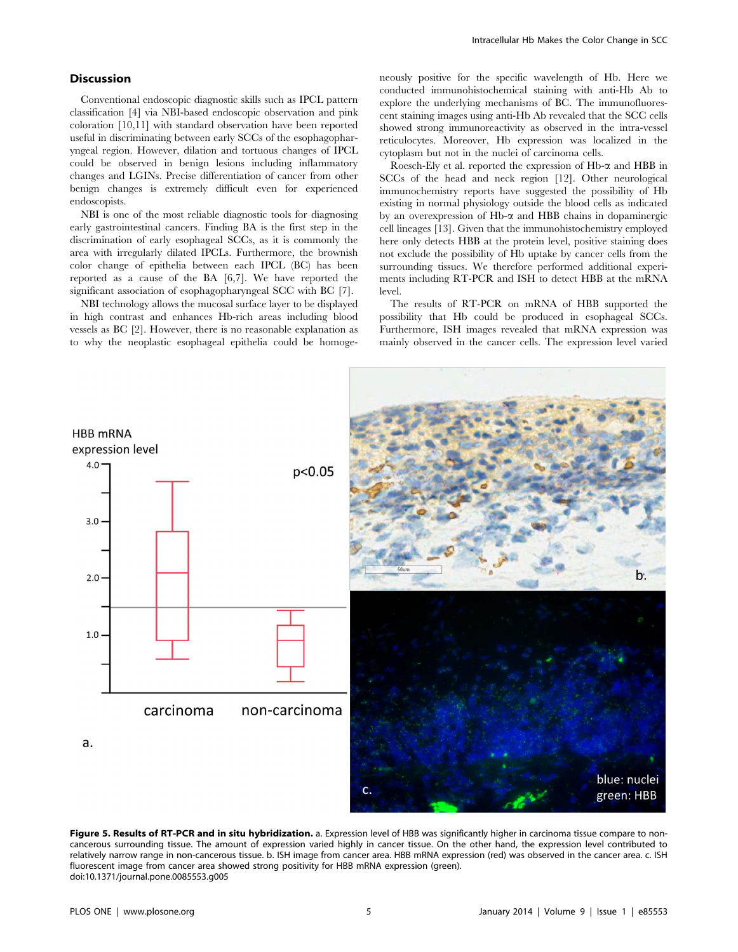## **Discussion**

Conventional endoscopic diagnostic skills such as IPCL pattern classification [4] via NBI-based endoscopic observation and pink coloration [10,11] with standard observation have been reported useful in discriminating between early SCCs of the esophagopharyngeal region. However, dilation and tortuous changes of IPCL could be observed in benign lesions including inflammatory changes and LGINs. Precise differentiation of cancer from other benign changes is extremely difficult even for experienced endoscopists.

NBI is one of the most reliable diagnostic tools for diagnosing early gastrointestinal cancers. Finding BA is the first step in the discrimination of early esophageal SCCs, as it is commonly the area with irregularly dilated IPCLs. Furthermore, the brownish color change of epithelia between each IPCL (BC) has been reported as a cause of the BA [6,7]. We have reported the significant association of esophagopharyngeal SCC with BC [7].

NBI technology allows the mucosal surface layer to be displayed in high contrast and enhances Hb-rich areas including blood vessels as BC [2]. However, there is no reasonable explanation as to why the neoplastic esophageal epithelia could be homogeneously positive for the specific wavelength of Hb. Here we conducted immunohistochemical staining with anti-Hb Ab to explore the underlying mechanisms of BC. The immunofluorescent staining images using anti-Hb Ab revealed that the SCC cells showed strong immunoreactivity as observed in the intra-vessel reticulocytes. Moreover, Hb expression was localized in the cytoplasm but not in the nuclei of carcinoma cells.

Roesch-Ely et al. reported the expression of  $Hb-\alpha$  and  $HBB$  in SCCs of the head and neck region [12]. Other neurological immunochemistry reports have suggested the possibility of Hb existing in normal physiology outside the blood cells as indicated by an overexpression of  $Hb-\alpha$  and  $HBB$  chains in dopaminergic cell lineages [13]. Given that the immunohistochemistry employed here only detects HBB at the protein level, positive staining does not exclude the possibility of Hb uptake by cancer cells from the surrounding tissues. We therefore performed additional experiments including RT-PCR and ISH to detect HBB at the mRNA level.

The results of RT-PCR on mRNA of HBB supported the possibility that Hb could be produced in esophageal SCCs. Furthermore, ISH images revealed that mRNA expression was mainly observed in the cancer cells. The expression level varied



Figure 5. Results of RT-PCR and in situ hybridization. a. Expression level of HBB was significantly higher in carcinoma tissue compare to noncancerous surrounding tissue. The amount of expression varied highly in cancer tissue. On the other hand, the expression level contributed to relatively narrow range in non-cancerous tissue. b. ISH image from cancer area. HBB mRNA expression (red) was observed in the cancer area. c. ISH fluorescent image from cancer area showed strong positivity for HBB mRNA expression (green). doi:10.1371/journal.pone.0085553.g005